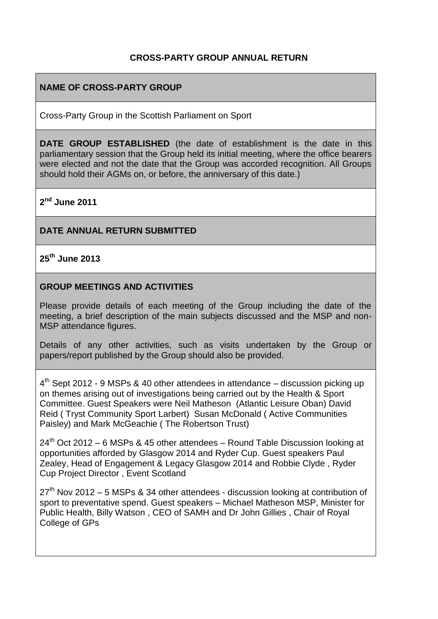## **CROSS-PARTY GROUP ANNUAL RETURN**

## **NAME OF CROSS-PARTY GROUP**

Cross-Party Group in the Scottish Parliament on Sport

**DATE GROUP ESTABLISHED** (the date of establishment is the date in this parliamentary session that the Group held its initial meeting, where the office bearers were elected and not the date that the Group was accorded recognition. All Groups should hold their AGMs on, or before, the anniversary of this date.)

**2 nd June 2011**

#### **DATE ANNUAL RETURN SUBMITTED**

**25 th June 2013**

#### **GROUP MEETINGS AND ACTIVITIES**

Please provide details of each meeting of the Group including the date of the meeting, a brief description of the main subjects discussed and the MSP and non-MSP attendance figures.

Details of any other activities, such as visits undertaken by the Group or papers/report published by the Group should also be provided.

4<sup>th</sup> Sept 2012 - 9 MSPs & 40 other attendees in attendance – discussion picking up on themes arising out of investigations being carried out by the Health & Sport Committee. Guest Speakers were Neil Matheson (Atlantic Leisure Oban) David Reid ( Tryst Community Sport Larbert) Susan McDonald ( Active Communities Paisley) and Mark McGeachie ( The Robertson Trust)

 $24<sup>th</sup>$  Oct 2012 – 6 MSPs & 45 other attendees – Round Table Discussion looking at opportunities afforded by Glasgow 2014 and Ryder Cup. Guest speakers Paul Zealey, Head of Engagement & Legacy Glasgow 2014 and Robbie Clyde , Ryder Cup Project Director , Event Scotland

 $27<sup>th</sup>$  Nov 2012 – 5 MSPs & 34 other attendees - discussion looking at contribution of sport to preventative spend. Guest speakers – Michael Matheson MSP, Minister for Public Health, Billy Watson , CEO of SAMH and Dr John Gillies , Chair of Royal College of GPs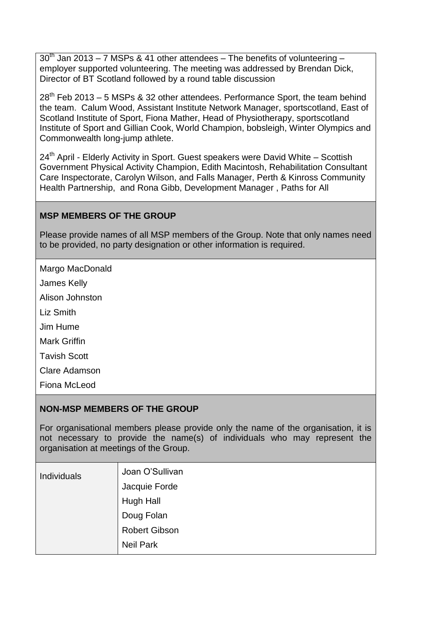$30<sup>th</sup>$  Jan 2013 – 7 MSPs & 41 other attendees – The benefits of volunteering – employer supported volunteering. The meeting was addressed by Brendan Dick, Director of BT Scotland followed by a round table discussion

 $28<sup>th</sup>$  Feb 2013 – 5 MSPs & 32 other attendees. Performance Sport, the team behind the team. Calum Wood, Assistant Institute Network Manager, sportscotland, East of Scotland Institute of Sport, Fiona Mather, Head of Physiotherapy, sportscotland Institute of Sport and Gillian Cook, World Champion, bobsleigh, Winter Olympics and Commonwealth long-jump athlete.

24<sup>th</sup> April - Elderly Activity in Sport. Guest speakers were David White – Scottish Government Physical Activity Champion, Edith Macintosh, Rehabilitation Consultant Care Inspectorate, Carolyn Wilson, and Falls Manager, Perth & Kinross Community Health Partnership, and Rona Gibb, Development Manager , Paths for All

### **MSP MEMBERS OF THE GROUP**

Please provide names of all MSP members of the Group. Note that only names need to be provided, no party designation or other information is required.

Margo MacDonald

James Kelly

Alison Johnston

Liz Smith

Jim Hume

Mark Griffin

Tavish Scott

Clare Adamson

Fiona McLeod

### **NON-MSP MEMBERS OF THE GROUP**

For organisational members please provide only the name of the organisation, it is not necessary to provide the name(s) of individuals who may represent the organisation at meetings of the Group.

| Individuals | Joan O'Sullivan      |
|-------------|----------------------|
|             | Jacquie Forde        |
|             | Hugh Hall            |
|             | Doug Folan           |
|             | <b>Robert Gibson</b> |
|             | <b>Neil Park</b>     |
|             |                      |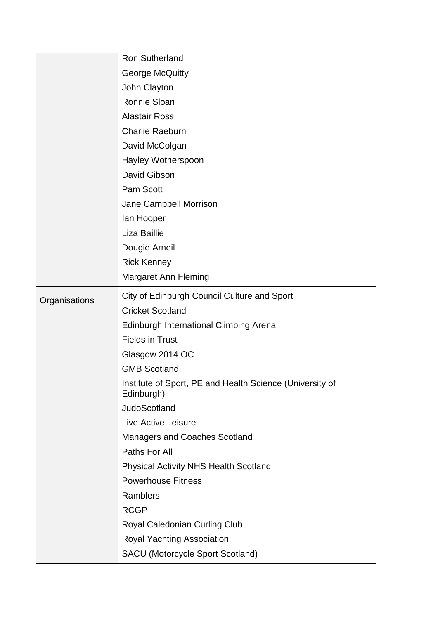|               | <b>Ron Sutherland</b>                                                  |
|---------------|------------------------------------------------------------------------|
|               | <b>George McQuitty</b>                                                 |
|               | John Clayton                                                           |
|               | Ronnie Sloan                                                           |
|               | <b>Alastair Ross</b>                                                   |
|               | <b>Charlie Raeburn</b>                                                 |
|               | David McColgan                                                         |
|               | Hayley Wotherspoon                                                     |
|               | David Gibson                                                           |
|               | Pam Scott                                                              |
|               | Jane Campbell Morrison                                                 |
|               | lan Hooper                                                             |
|               | Liza Baillie                                                           |
|               | Dougie Arneil                                                          |
|               | <b>Rick Kenney</b>                                                     |
|               | <b>Margaret Ann Fleming</b>                                            |
| Organisations | City of Edinburgh Council Culture and Sport                            |
|               | <b>Cricket Scotland</b>                                                |
|               | Edinburgh International Climbing Arena                                 |
|               | <b>Fields in Trust</b>                                                 |
|               | Glasgow 2014 OC                                                        |
|               | <b>GMB Scotland</b>                                                    |
|               | Institute of Sport, PE and Health Science (University of<br>Edinburgh) |
|               | <b>JudoScotland</b>                                                    |
|               | Live Active Leisure                                                    |
|               | Managers and Coaches Scotland                                          |
|               | Paths For All                                                          |
|               | <b>Physical Activity NHS Health Scotland</b>                           |
|               | <b>Powerhouse Fitness</b>                                              |
|               | Ramblers                                                               |
|               | <b>RCGP</b>                                                            |
|               | Royal Caledonian Curling Club                                          |
|               | <b>Royal Yachting Association</b>                                      |
|               | <b>SACU (Motorcycle Sport Scotland)</b>                                |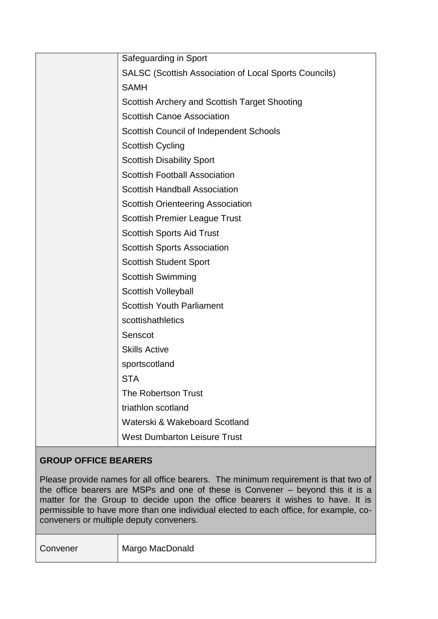| Safeguarding in Sport                                 |
|-------------------------------------------------------|
| SALSC (Scottish Association of Local Sports Councils) |
| <b>SAMH</b>                                           |
| Scottish Archery and Scottish Target Shooting         |
| <b>Scottish Canoe Association</b>                     |
| Scottish Council of Independent Schools               |
| <b>Scottish Cycling</b>                               |
| <b>Scottish Disability Sport</b>                      |
| <b>Scottish Football Association</b>                  |
| <b>Scottish Handball Association</b>                  |
| <b>Scottish Orienteering Association</b>              |
| <b>Scottish Premier League Trust</b>                  |
| <b>Scottish Sports Aid Trust</b>                      |
| <b>Scottish Sports Association</b>                    |
| <b>Scottish Student Sport</b>                         |
| <b>Scottish Swimming</b>                              |
| <b>Scottish Volleyball</b>                            |
| <b>Scottish Youth Parliament</b>                      |
| scottishathletics                                     |
| Senscot                                               |
| <b>Skills Active</b>                                  |
| sportscotland                                         |
| <b>STA</b>                                            |
| The Robertson Trust                                   |
| triathlon scotland                                    |
| Waterski & Wakeboard Scotland                         |
| <b>West Dumbarton Leisure Trust</b>                   |
|                                                       |

# **GROUP OFFICE BEARERS**

Please provide names for all office bearers. The minimum requirement is that two of the office bearers are MSPs and one of these is Convener – beyond this it is a matter for the Group to decide upon the office bearers it wishes to have. It is permissible to have more than one individual elected to each office, for example, coconveners or multiple deputy conveners.

| Convener | Margo MacDonald |
|----------|-----------------|
|          |                 |